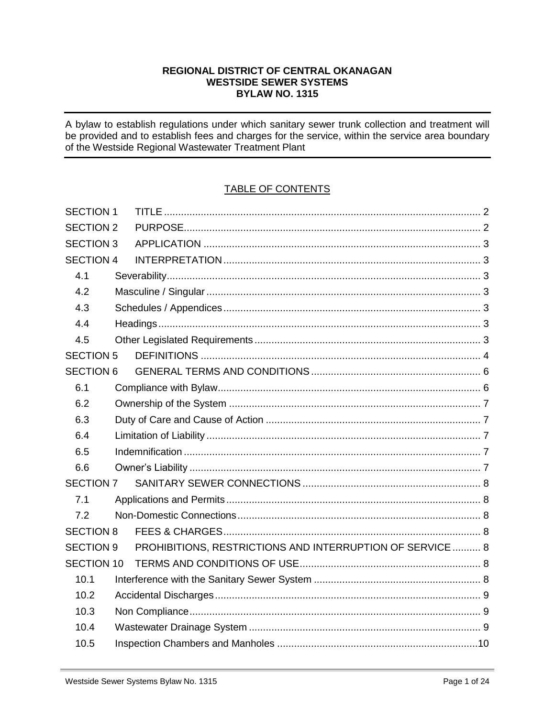## REGIONAL DISTRICT OF CENTRAL OKANAGAN **WESTSIDE SEWER SYSTEMS BYLAW NO. 1315**

A bylaw to establish regulations under which sanitary sewer trunk collection and treatment will be provided and to establish fees and charges for the service, within the service area boundary of the Westside Regional Wastewater Treatment Plant

# **TABLE OF CONTENTS**

| <b>SECTION 1</b>  |                                                           |  |
|-------------------|-----------------------------------------------------------|--|
| <b>SECTION 2</b>  |                                                           |  |
| <b>SECTION 3</b>  |                                                           |  |
| <b>SECTION 4</b>  |                                                           |  |
| 4.1               |                                                           |  |
| 4.2               |                                                           |  |
| 4.3               |                                                           |  |
| 4.4               |                                                           |  |
| 4.5               |                                                           |  |
| <b>SECTION 5</b>  |                                                           |  |
| <b>SECTION 6</b>  |                                                           |  |
| 6.1               |                                                           |  |
| 6.2               |                                                           |  |
| 6.3               |                                                           |  |
| 6.4               |                                                           |  |
| 6.5               |                                                           |  |
| 6.6               |                                                           |  |
| <b>SECTION 7</b>  |                                                           |  |
| 7.1               |                                                           |  |
| 7.2               |                                                           |  |
| <b>SECTION 8</b>  |                                                           |  |
| <b>SECTION 9</b>  | PROHIBITIONS, RESTRICTIONS AND INTERRUPTION OF SERVICE  8 |  |
| <b>SECTION 10</b> |                                                           |  |
| 10.1              |                                                           |  |
| 10.2              |                                                           |  |
| 10.3              |                                                           |  |
| 10.4              |                                                           |  |
| 10.5              |                                                           |  |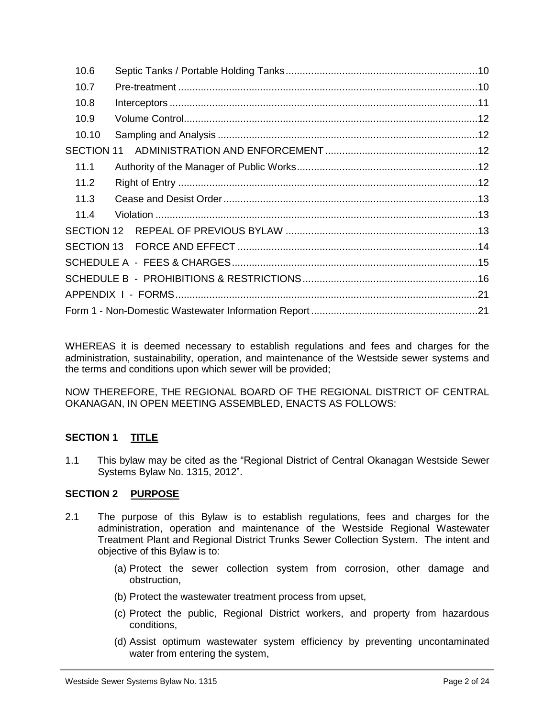| 10.6       |  |
|------------|--|
| 10.7       |  |
| 10.8       |  |
| 10.9       |  |
| 10.10      |  |
| SECTION 11 |  |
| 11.1       |  |
| 11.2       |  |
| 11.3       |  |
| 11.4       |  |
|            |  |
|            |  |
|            |  |
|            |  |
|            |  |
|            |  |

WHEREAS it is deemed necessary to establish regulations and fees and charges for the administration, sustainability, operation, and maintenance of the Westside sewer systems and the terms and conditions upon which sewer will be provided;

NOW THEREFORE, THE REGIONAL BOARD OF THE REGIONAL DISTRICT OF CENTRAL OKANAGAN, IN OPEN MEETING ASSEMBLED, ENACTS AS FOLLOWS:

# <span id="page-1-0"></span>**SECTION 1 TITLE**

1.1 This bylaw may be cited as the "Regional District of Central Okanagan Westside Sewer Systems Bylaw No. 1315, 2012".

## <span id="page-1-1"></span>**SECTION 2 PURPOSE**

- 2.1 The purpose of this Bylaw is to establish regulations, fees and charges for the administration, operation and maintenance of the Westside Regional Wastewater Treatment Plant and Regional District Trunks Sewer Collection System. The intent and objective of this Bylaw is to:
	- (a) Protect the sewer collection system from corrosion, other damage and obstruction,
	- (b) Protect the wastewater treatment process from upset,
	- (c) Protect the public, Regional District workers, and property from hazardous conditions,
	- (d) Assist optimum wastewater system efficiency by preventing uncontaminated water from entering the system,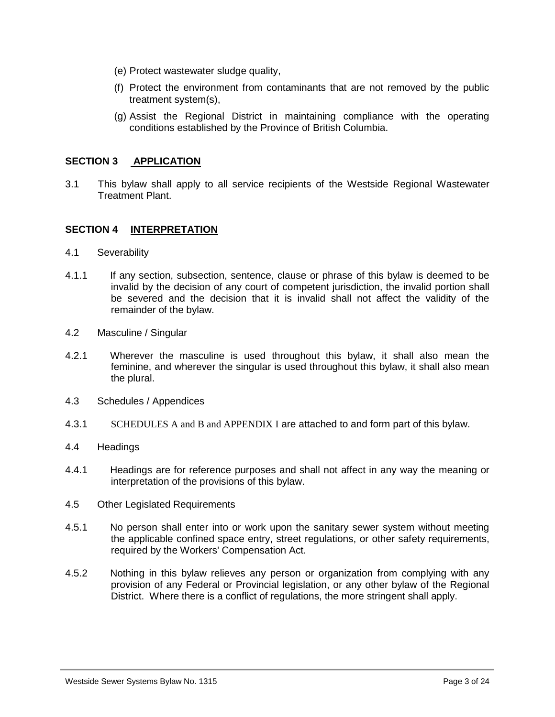- (e) Protect wastewater sludge quality,
- (f) Protect the environment from contaminants that are not removed by the public treatment system(s),
- <span id="page-2-0"></span>(g) Assist the Regional District in maintaining compliance with the operating conditions established by the Province of British Columbia.

## **SECTION 3 APPLICATION**

3.1 This bylaw shall apply to all service recipients of the Westside Regional Wastewater Treatment Plant.

### <span id="page-2-1"></span>**SECTION 4 INTERPRETATION**

- <span id="page-2-2"></span>4.1 Severability
- 4.1.1 If any section, subsection, sentence, clause or phrase of this bylaw is deemed to be invalid by the decision of any court of competent jurisdiction, the invalid portion shall be severed and the decision that it is invalid shall not affect the validity of the remainder of the bylaw.
- <span id="page-2-3"></span>4.2 Masculine / Singular
- 4.2.1 Wherever the masculine is used throughout this bylaw, it shall also mean the feminine, and wherever the singular is used throughout this bylaw, it shall also mean the plural.
- <span id="page-2-4"></span>4.3 Schedules / Appendices
- 4.3.1 SCHEDULES A and B and APPENDIX I are attached to and form part of this bylaw.
- <span id="page-2-5"></span>4.4 Headings
- 4.4.1 Headings are for reference purposes and shall not affect in any way the meaning or interpretation of the provisions of this bylaw.
- <span id="page-2-6"></span>4.5 Other Legislated Requirements
- 4.5.1 No person shall enter into or work upon the sanitary sewer system without meeting the applicable confined space entry, street regulations, or other safety requirements, required by the Workers' Compensation Act.
- 4.5.2 Nothing in this bylaw relieves any person or organization from complying with any provision of any Federal or Provincial legislation, or any other bylaw of the Regional District. Where there is a conflict of regulations, the more stringent shall apply.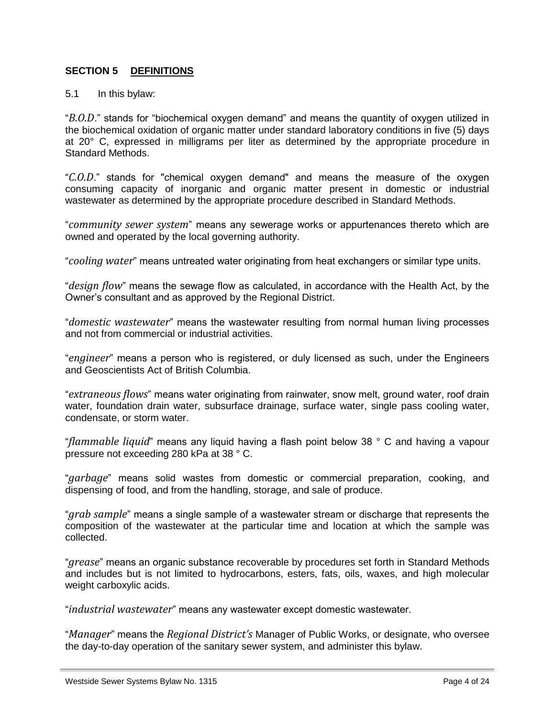## <span id="page-3-0"></span>**SECTION 5 DEFINITIONS**

#### 5.1 In this bylaw:

"*B.O.D*." stands for "biochemical oxygen demand" and means the quantity of oxygen utilized in the biochemical oxidation of organic matter under standard laboratory conditions in five (5) days at 20° C, expressed in milligrams per liter as determined by the appropriate procedure in Standard Methods.

"*C.O.D*." stands for "chemical oxygen demand" and means the measure of the oxygen consuming capacity of inorganic and organic matter present in domestic or industrial wastewater as determined by the appropriate procedure described in Standard Methods.

"*community sewer system*" means any sewerage works or appurtenances thereto which are owned and operated by the local governing authority.

"*cooling water*" means untreated water originating from heat exchangers or similar type units.

"*design flow*" means the sewage flow as calculated, in accordance with the Health Act, by the Owner's consultant and as approved by the Regional District.

"*domestic wastewater*" means the wastewater resulting from normal human living processes and not from commercial or industrial activities.

"*engineer*" means a person who is registered, or duly licensed as such, under the Engineers and Geoscientists Act of British Columbia.

"*extraneous flows*" means water originating from rainwater, snow melt, ground water, roof drain water, foundation drain water, subsurface drainage, surface water, single pass cooling water, condensate, or storm water.

"*flammable liquid*" means any liquid having a flash point below 38 ° C and having a vapour pressure not exceeding 280 kPa at 38 ° C.

"*garbage*" means solid wastes from domestic or commercial preparation, cooking, and dispensing of food, and from the handling, storage, and sale of produce.

"*grab sample*" means a single sample of a wastewater stream or discharge that represents the composition of the wastewater at the particular time and location at which the sample was collected.

"*grease*" means an organic substance recoverable by procedures set forth in Standard Methods and includes but is not limited to hydrocarbons, esters, fats, oils, waxes, and high molecular weight carboxylic acids.

"*industrial wastewater*" means any wastewater except domestic wastewater.

"*Manager*" means the *Regional District's* Manager of Public Works, or designate, who oversee the day-to-day operation of the sanitary sewer system, and administer this bylaw.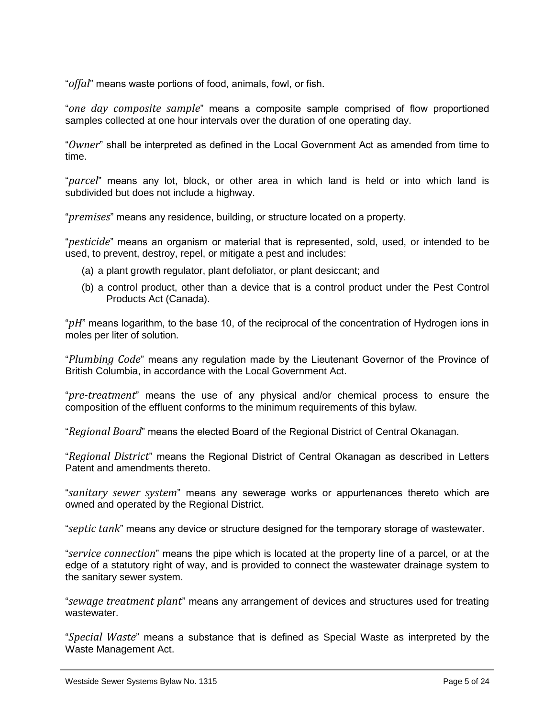"*offal*" means waste portions of food, animals, fowl, or fish.

"*one day composite sample*" means a composite sample comprised of flow proportioned samples collected at one hour intervals over the duration of one operating day.

"*Owner*" shall be interpreted as defined in the Local Government Act as amended from time to time.

"*parcel*" means any lot, block, or other area in which land is held or into which land is subdivided but does not include a highway.

"*premises*" means any residence, building, or structure located on a property.

"*pesticide*" means an organism or material that is represented, sold, used, or intended to be used, to prevent, destroy, repel, or mitigate a pest and includes:

- (a) a plant growth regulator, plant defoliator, or plant desiccant; and
- (b) a control product, other than a device that is a control product under the Pest Control Products Act (Canada).

"*pH*" means logarithm, to the base 10, of the reciprocal of the concentration of Hydrogen ions in moles per liter of solution.

"*Plumbing Code*" means any regulation made by the Lieutenant Governor of the Province of British Columbia, in accordance with the Local Government Act.

"*pre-treatment*" means the use of any physical and/or chemical process to ensure the composition of the effluent conforms to the minimum requirements of this bylaw.

"*Regional Board*" means the elected Board of the Regional District of Central Okanagan.

"*Regional District*" means the Regional District of Central Okanagan as described in Letters Patent and amendments thereto.

"*sanitary sewer system*" means any sewerage works or appurtenances thereto which are owned and operated by the Regional District.

"*septic tank*" means any device or structure designed for the temporary storage of wastewater.

"*service connection*" means the pipe which is located at the property line of a parcel, or at the edge of a statutory right of way, and is provided to connect the wastewater drainage system to the sanitary sewer system.

"*sewage treatment plant*" means any arrangement of devices and structures used for treating wastewater.

"*Special Waste*" means a substance that is defined as Special Waste as interpreted by the Waste Management Act.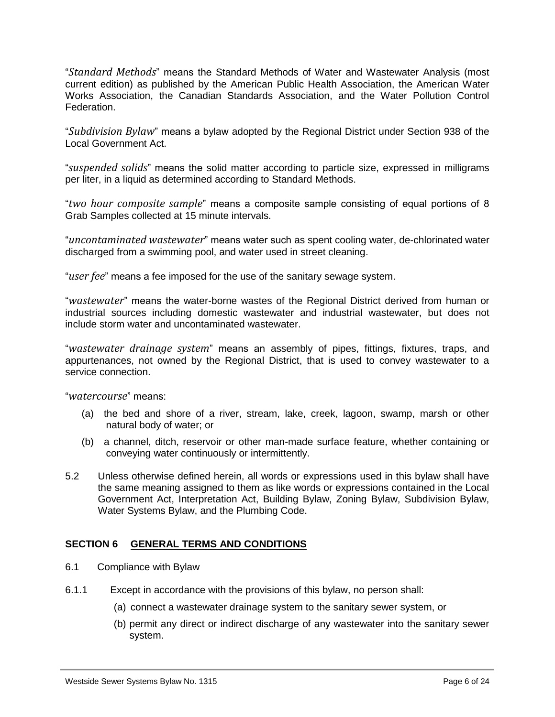"*Standard Methods*" means the Standard Methods of Water and Wastewater Analysis (most current edition) as published by the American Public Health Association, the American Water Works Association, the Canadian Standards Association, and the Water Pollution Control Federation.

"*Subdivision Bylaw*" means a bylaw adopted by the Regional District under Section 938 of the Local Government Act.

"*suspended solids*" means the solid matter according to particle size, expressed in milligrams per liter, in a liquid as determined according to Standard Methods.

"*two hour composite sample*" means a composite sample consisting of equal portions of 8 Grab Samples collected at 15 minute intervals.

"*uncontaminated wastewater*" means water such as spent cooling water, de-chlorinated water discharged from a swimming pool, and water used in street cleaning.

"*user fee*" means a fee imposed for the use of the sanitary sewage system.

"*wastewater*" means the water-borne wastes of the Regional District derived from human or industrial sources including domestic wastewater and industrial wastewater, but does not include storm water and uncontaminated wastewater.

"*wastewater drainage system*" means an assembly of pipes, fittings, fixtures, traps, and appurtenances, not owned by the Regional District, that is used to convey wastewater to a service connection.

"*watercourse*" means:

- (a) the bed and shore of a river, stream, lake, creek, lagoon, swamp, marsh or other natural body of water; or
- (b) a channel, ditch, reservoir or other man-made surface feature, whether containing or conveying water continuously or intermittently.
- 5.2 Unless otherwise defined herein, all words or expressions used in this bylaw shall have the same meaning assigned to them as like words or expressions contained in the Local Government Act, Interpretation Act, Building Bylaw, Zoning Bylaw, Subdivision Bylaw, Water Systems Bylaw, and the Plumbing Code.

## <span id="page-5-0"></span>**SECTION 6 GENERAL TERMS AND CONDITIONS**

- <span id="page-5-1"></span>6.1 Compliance with Bylaw
- 6.1.1 Except in accordance with the provisions of this bylaw, no person shall:
	- (a) connect a wastewater drainage system to the sanitary sewer system, or
	- (b) permit any direct or indirect discharge of any wastewater into the sanitary sewer system.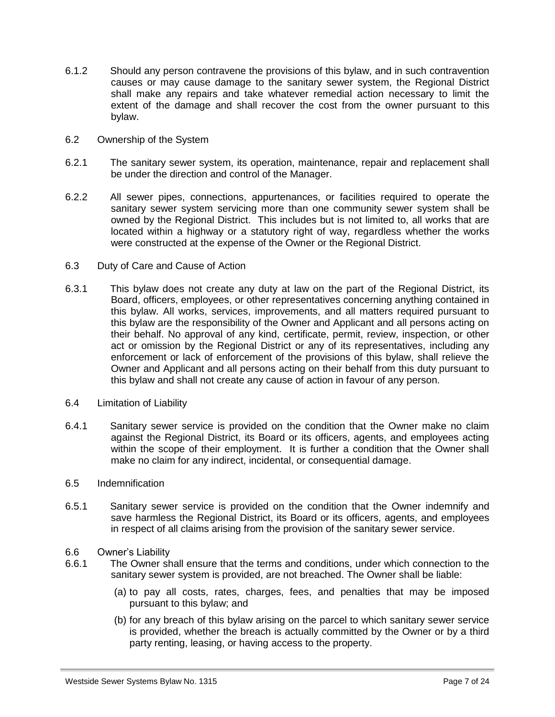- 6.1.2 Should any person contravene the provisions of this bylaw, and in such contravention causes or may cause damage to the sanitary sewer system, the Regional District shall make any repairs and take whatever remedial action necessary to limit the extent of the damage and shall recover the cost from the owner pursuant to this bylaw.
- <span id="page-6-0"></span>6.2 Ownership of the System
- 6.2.1 The sanitary sewer system, its operation, maintenance, repair and replacement shall be under the direction and control of the Manager.
- 6.2.2 All sewer pipes, connections, appurtenances, or facilities required to operate the sanitary sewer system servicing more than one community sewer system shall be owned by the Regional District. This includes but is not limited to, all works that are located within a highway or a statutory right of way, regardless whether the works were constructed at the expense of the Owner or the Regional District.
- <span id="page-6-1"></span>6.3 Duty of Care and Cause of Action
- 6.3.1 This bylaw does not create any duty at law on the part of the Regional District, its Board, officers, employees, or other representatives concerning anything contained in this bylaw. All works, services, improvements, and all matters required pursuant to this bylaw are the responsibility of the Owner and Applicant and all persons acting on their behalf. No approval of any kind, certificate, permit, review, inspection, or other act or omission by the Regional District or any of its representatives, including any enforcement or lack of enforcement of the provisions of this bylaw, shall relieve the Owner and Applicant and all persons acting on their behalf from this duty pursuant to this bylaw and shall not create any cause of action in favour of any person.
- <span id="page-6-2"></span>6.4 Limitation of Liability
- 6.4.1 Sanitary sewer service is provided on the condition that the Owner make no claim against the Regional District, its Board or its officers, agents, and employees acting within the scope of their employment. It is further a condition that the Owner shall make no claim for any indirect, incidental, or consequential damage.
- <span id="page-6-3"></span>6.5 Indemnification
- 6.5.1 Sanitary sewer service is provided on the condition that the Owner indemnify and save harmless the Regional District, its Board or its officers, agents, and employees in respect of all claims arising from the provision of the sanitary sewer service.
- <span id="page-6-4"></span>6.6 Owner's Liability
- 6.6.1 The Owner shall ensure that the terms and conditions, under which connection to the sanitary sewer system is provided, are not breached. The Owner shall be liable:
	- (a) to pay all costs, rates, charges, fees, and penalties that may be imposed pursuant to this bylaw; and
	- (b) for any breach of this bylaw arising on the parcel to which sanitary sewer service is provided, whether the breach is actually committed by the Owner or by a third party renting, leasing, or having access to the property.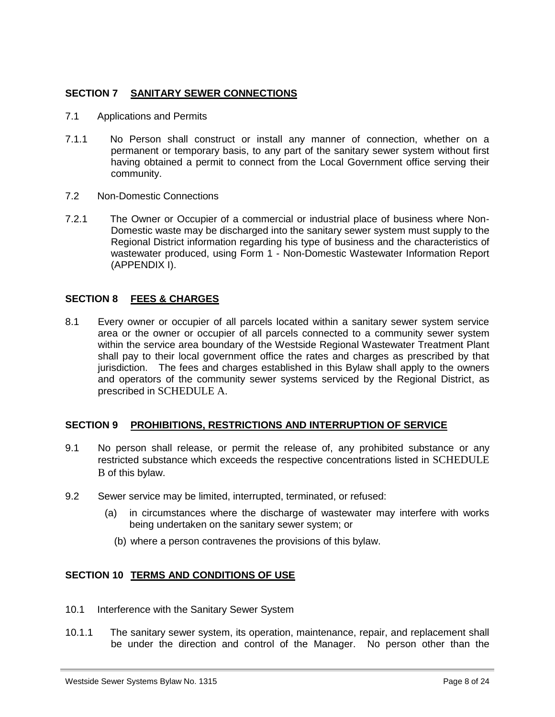## <span id="page-7-0"></span>**SECTION 7 SANITARY SEWER CONNECTIONS**

- <span id="page-7-1"></span>7.1 Applications and Permits
- 7.1.1 No Person shall construct or install any manner of connection, whether on a permanent or temporary basis, to any part of the sanitary sewer system without first having obtained a permit to connect from the Local Government office serving their community.
- <span id="page-7-2"></span>7.2 Non-Domestic Connections
- 7.2.1 The Owner or Occupier of a commercial or industrial place of business where Non-Domestic waste may be discharged into the sanitary sewer system must supply to the Regional District information regarding his type of business and the characteristics of wastewater produced, using Form 1 - Non-Domestic Wastewater Information Report (APPENDIX I).

## <span id="page-7-3"></span>**SECTION 8 FEES & CHARGES**

8.1 Every owner or occupier of all parcels located within a sanitary sewer system service area or the owner or occupier of all parcels connected to a community sewer system within the service area boundary of the Westside Regional Wastewater Treatment Plant shall pay to their local government office the rates and charges as prescribed by that jurisdiction. The fees and charges established in this Bylaw shall apply to the owners and operators of the community sewer systems serviced by the Regional District, as prescribed in SCHEDULE A.

## <span id="page-7-4"></span>**SECTION 9 PROHIBITIONS, RESTRICTIONS AND INTERRUPTION OF SERVICE**

- 9.1 No person shall release, or permit the release of, any prohibited substance or any restricted substance which exceeds the respective concentrations listed in SCHEDULE B of this bylaw.
- 9.2 Sewer service may be limited, interrupted, terminated, or refused:
	- (a) in circumstances where the discharge of wastewater may interfere with works being undertaken on the sanitary sewer system; or
		- (b) where a person contravenes the provisions of this bylaw.

## <span id="page-7-5"></span>**SECTION 10 TERMS AND CONDITIONS OF USE**

- <span id="page-7-6"></span>10.1 Interference with the Sanitary Sewer System
- 10.1.1 The sanitary sewer system, its operation, maintenance, repair, and replacement shall be under the direction and control of the Manager. No person other than the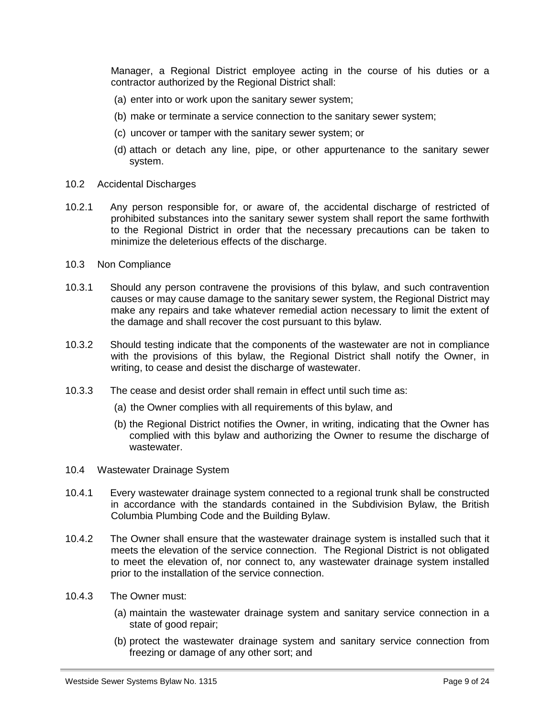Manager, a Regional District employee acting in the course of his duties or a contractor authorized by the Regional District shall:

- (a) enter into or work upon the sanitary sewer system;
- (b) make or terminate a service connection to the sanitary sewer system;
- (c) uncover or tamper with the sanitary sewer system; or
- (d) attach or detach any line, pipe, or other appurtenance to the sanitary sewer system.
- <span id="page-8-0"></span>10.2 Accidental Discharges
- 10.2.1 Any person responsible for, or aware of, the accidental discharge of restricted of prohibited substances into the sanitary sewer system shall report the same forthwith to the Regional District in order that the necessary precautions can be taken to minimize the deleterious effects of the discharge.
- <span id="page-8-1"></span>10.3 Non Compliance
- 10.3.1 Should any person contravene the provisions of this bylaw, and such contravention causes or may cause damage to the sanitary sewer system, the Regional District may make any repairs and take whatever remedial action necessary to limit the extent of the damage and shall recover the cost pursuant to this bylaw.
- 10.3.2 Should testing indicate that the components of the wastewater are not in compliance with the provisions of this bylaw, the Regional District shall notify the Owner, in writing, to cease and desist the discharge of wastewater.
- 10.3.3 The cease and desist order shall remain in effect until such time as:
	- (a) the Owner complies with all requirements of this bylaw, and
	- (b) the Regional District notifies the Owner, in writing, indicating that the Owner has complied with this bylaw and authorizing the Owner to resume the discharge of wastewater.
- <span id="page-8-2"></span>10.4 Wastewater Drainage System
- 10.4.1 Every wastewater drainage system connected to a regional trunk shall be constructed in accordance with the standards contained in the Subdivision Bylaw, the British Columbia Plumbing Code and the Building Bylaw.
- 10.4.2 The Owner shall ensure that the wastewater drainage system is installed such that it meets the elevation of the service connection. The Regional District is not obligated to meet the elevation of, nor connect to, any wastewater drainage system installed prior to the installation of the service connection.
- 10.4.3 The Owner must:
	- (a) maintain the wastewater drainage system and sanitary service connection in a state of good repair;
	- (b) protect the wastewater drainage system and sanitary service connection from freezing or damage of any other sort; and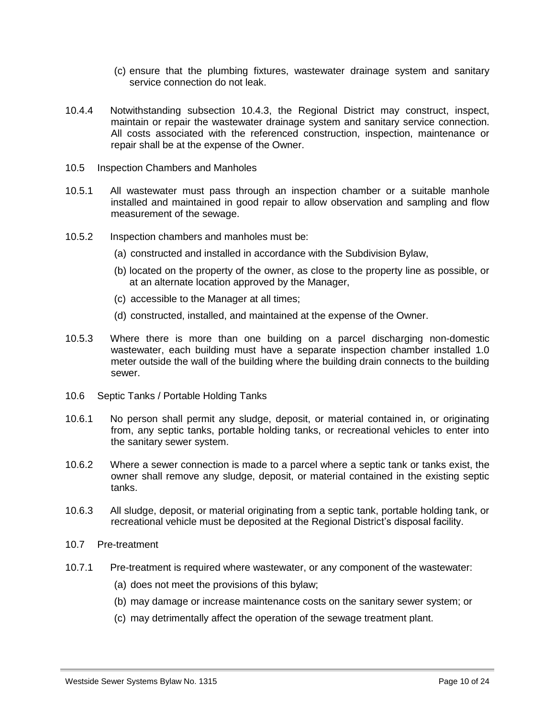- (c) ensure that the plumbing fixtures, wastewater drainage system and sanitary service connection do not leak.
- 10.4.4 Notwithstanding subsection 10.4.3, the Regional District may construct, inspect, maintain or repair the wastewater drainage system and sanitary service connection. All costs associated with the referenced construction, inspection, maintenance or repair shall be at the expense of the Owner.
- <span id="page-9-0"></span>10.5 Inspection Chambers and Manholes
- 10.5.1 All wastewater must pass through an inspection chamber or a suitable manhole installed and maintained in good repair to allow observation and sampling and flow measurement of the sewage.
- 10.5.2 Inspection chambers and manholes must be:
	- (a) constructed and installed in accordance with the Subdivision Bylaw,
	- (b) located on the property of the owner, as close to the property line as possible, or at an alternate location approved by the Manager,
	- (c) accessible to the Manager at all times;
	- (d) constructed, installed, and maintained at the expense of the Owner.
- 10.5.3 Where there is more than one building on a parcel discharging non-domestic wastewater, each building must have a separate inspection chamber installed 1.0 meter outside the wall of the building where the building drain connects to the building sewer.
- <span id="page-9-1"></span>10.6 Septic Tanks / Portable Holding Tanks
- 10.6.1 No person shall permit any sludge, deposit, or material contained in, or originating from, any septic tanks, portable holding tanks, or recreational vehicles to enter into the sanitary sewer system.
- 10.6.2 Where a sewer connection is made to a parcel where a septic tank or tanks exist, the owner shall remove any sludge, deposit, or material contained in the existing septic tanks.
- 10.6.3 All sludge, deposit, or material originating from a septic tank, portable holding tank, or recreational vehicle must be deposited at the Regional District's disposal facility.
- <span id="page-9-2"></span>10.7 Pre-treatment
- 10.7.1 Pre-treatment is required where wastewater, or any component of the wastewater:
	- (a) does not meet the provisions of this bylaw;
	- (b) may damage or increase maintenance costs on the sanitary sewer system; or
	- (c) may detrimentally affect the operation of the sewage treatment plant.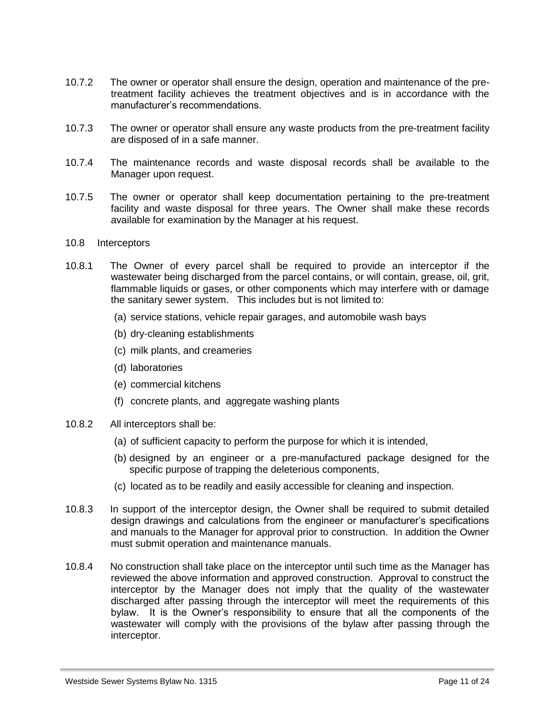- 10.7.2 The owner or operator shall ensure the design, operation and maintenance of the pretreatment facility achieves the treatment objectives and is in accordance with the manufacturer's recommendations.
- 10.7.3 The owner or operator shall ensure any waste products from the pre-treatment facility are disposed of in a safe manner.
- 10.7.4 The maintenance records and waste disposal records shall be available to the Manager upon request.
- 10.7.5 The owner or operator shall keep documentation pertaining to the pre-treatment facility and waste disposal for three years. The Owner shall make these records available for examination by the Manager at his request.
- <span id="page-10-0"></span>10.8 Interceptors
- 10.8.1 The Owner of every parcel shall be required to provide an interceptor if the wastewater being discharged from the parcel contains, or will contain, grease, oil, grit, flammable liquids or gases, or other components which may interfere with or damage the sanitary sewer system. This includes but is not limited to:
	- (a) service stations, vehicle repair garages, and automobile wash bays
	- (b) dry-cleaning establishments
	- (c) milk plants, and creameries
	- (d) laboratories
	- (e) commercial kitchens
	- (f) concrete plants, and aggregate washing plants
- 10.8.2 All interceptors shall be:
	- (a) of sufficient capacity to perform the purpose for which it is intended,
	- (b) designed by an engineer or a pre-manufactured package designed for the specific purpose of trapping the deleterious components,
	- (c) located as to be readily and easily accessible for cleaning and inspection.
- 10.8.3 In support of the interceptor design, the Owner shall be required to submit detailed design drawings and calculations from the engineer or manufacturer's specifications and manuals to the Manager for approval prior to construction. In addition the Owner must submit operation and maintenance manuals.
- 10.8.4 No construction shall take place on the interceptor until such time as the Manager has reviewed the above information and approved construction. Approval to construct the interceptor by the Manager does not imply that the quality of the wastewater discharged after passing through the interceptor will meet the requirements of this bylaw. It is the Owner's responsibility to ensure that all the components of the wastewater will comply with the provisions of the bylaw after passing through the interceptor.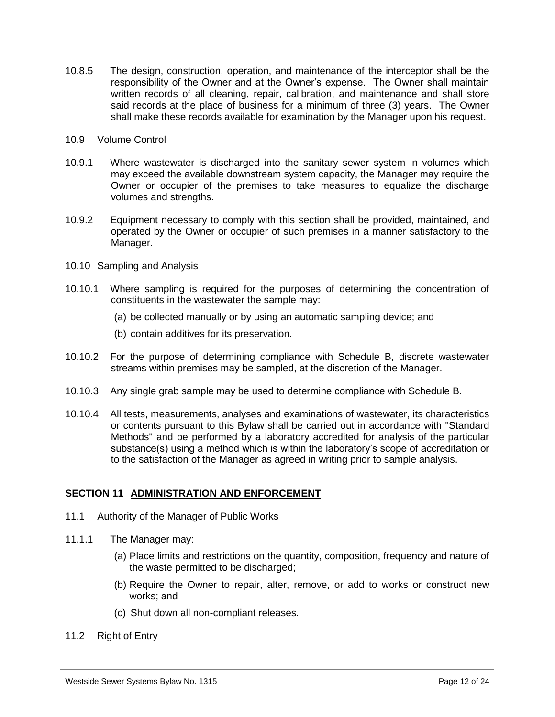- 10.8.5 The design, construction, operation, and maintenance of the interceptor shall be the responsibility of the Owner and at the Owner's expense. The Owner shall maintain written records of all cleaning, repair, calibration, and maintenance and shall store said records at the place of business for a minimum of three (3) years. The Owner shall make these records available for examination by the Manager upon his request.
- <span id="page-11-0"></span>10.9 Volume Control
- 10.9.1 Where wastewater is discharged into the sanitary sewer system in volumes which may exceed the available downstream system capacity, the Manager may require the Owner or occupier of the premises to take measures to equalize the discharge volumes and strengths.
- 10.9.2 Equipment necessary to comply with this section shall be provided, maintained, and operated by the Owner or occupier of such premises in a manner satisfactory to the Manager.
- <span id="page-11-1"></span>10.10 Sampling and Analysis
- 10.10.1 Where sampling is required for the purposes of determining the concentration of constituents in the wastewater the sample may:
	- (a) be collected manually or by using an automatic sampling device; and
	- (b) contain additives for its preservation.
- 10.10.2 For the purpose of determining compliance with Schedule B, discrete wastewater streams within premises may be sampled, at the discretion of the Manager.
- 10.10.3 Any single grab sample may be used to determine compliance with Schedule B.
- 10.10.4 All tests, measurements, analyses and examinations of wastewater, its characteristics or contents pursuant to this Bylaw shall be carried out in accordance with "Standard Methods" and be performed by a laboratory accredited for analysis of the particular substance(s) using a method which is within the laboratory's scope of accreditation or to the satisfaction of the Manager as agreed in writing prior to sample analysis.

## <span id="page-11-2"></span>**SECTION 11 ADMINISTRATION AND ENFORCEMENT**

- <span id="page-11-3"></span>11.1 Authority of the Manager of Public Works
- 11.1.1 The Manager may:
	- (a) Place limits and restrictions on the quantity, composition, frequency and nature of the waste permitted to be discharged;
	- (b) Require the Owner to repair, alter, remove, or add to works or construct new works; and
	- (c) Shut down all non-compliant releases.
- <span id="page-11-4"></span>11.2 Right of Entry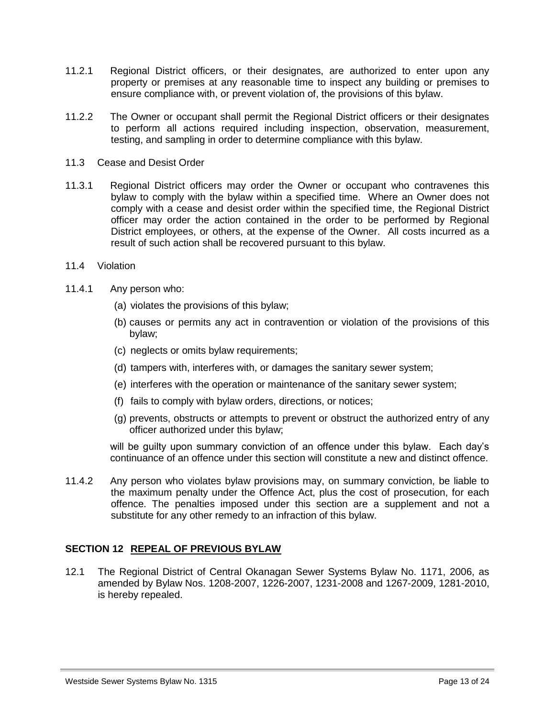- 11.2.1 Regional District officers, or their designates, are authorized to enter upon any property or premises at any reasonable time to inspect any building or premises to ensure compliance with, or prevent violation of, the provisions of this bylaw.
- 11.2.2 The Owner or occupant shall permit the Regional District officers or their designates to perform all actions required including inspection, observation, measurement, testing, and sampling in order to determine compliance with this bylaw.
- <span id="page-12-0"></span>11.3 Cease and Desist Order
- 11.3.1 Regional District officers may order the Owner or occupant who contravenes this bylaw to comply with the bylaw within a specified time. Where an Owner does not comply with a cease and desist order within the specified time, the Regional District officer may order the action contained in the order to be performed by Regional District employees, or others, at the expense of the Owner. All costs incurred as a result of such action shall be recovered pursuant to this bylaw.
- <span id="page-12-1"></span>11.4 Violation
- 11.4.1 Any person who:
	- (a) violates the provisions of this bylaw;
	- (b) causes or permits any act in contravention or violation of the provisions of this bylaw;
	- (c) neglects or omits bylaw requirements;
	- (d) tampers with, interferes with, or damages the sanitary sewer system;
	- (e) interferes with the operation or maintenance of the sanitary sewer system;
	- (f) fails to comply with bylaw orders, directions, or notices;
	- (g) prevents, obstructs or attempts to prevent or obstruct the authorized entry of any officer authorized under this bylaw;

will be guilty upon summary conviction of an offence under this bylaw. Each day's continuance of an offence under this section will constitute a new and distinct offence.

11.4.2 Any person who violates bylaw provisions may, on summary conviction, be liable to the maximum penalty under the Offence Act, plus the cost of prosecution, for each offence. The penalties imposed under this section are a supplement and not a substitute for any other remedy to an infraction of this bylaw.

## <span id="page-12-2"></span>**SECTION 12 REPEAL OF PREVIOUS BYLAW**

12.1 The Regional District of Central Okanagan Sewer Systems Bylaw No. 1171, 2006, as amended by Bylaw Nos. 1208-2007, 1226-2007, 1231-2008 and 1267-2009, 1281-2010, is hereby repealed.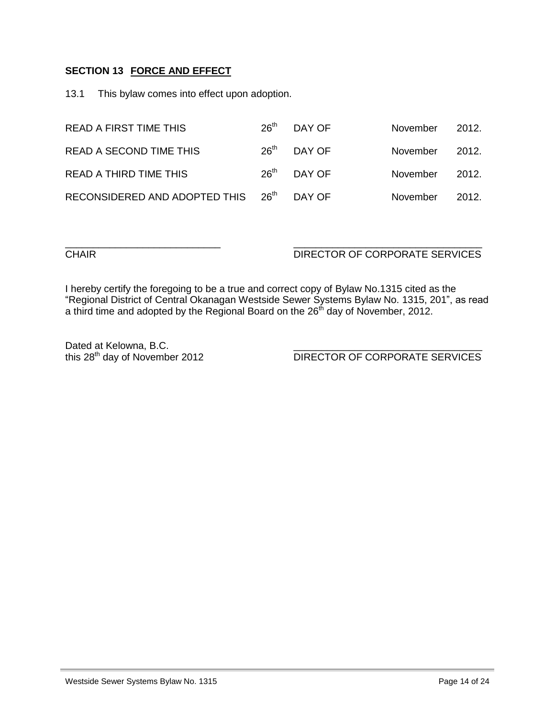## <span id="page-13-0"></span>**SECTION 13 FORCE AND EFFECT**

13.1 This bylaw comes into effect upon adoption.

| <b>READ A FIRST TIME THIS</b>      | 26 <sup>th</sup> | DAY OF | November | 2012. |
|------------------------------------|------------------|--------|----------|-------|
| READ A SECOND TIME THIS            | 26 <sup>th</sup> | DAY OF | November | 2012. |
| <b>READ A THIRD TIME THIS</b>      | 26 <sup>th</sup> | DAY OF | November | 2012. |
| RECONSIDERED AND ADOPTED THIS 26th |                  | DAY OF | November | 2012. |

## CHAIR DIRECTOR OF CORPORATE SERVICES

I hereby certify the foregoing to be a true and correct copy of Bylaw No.1315 cited as the "Regional District of Central Okanagan Westside Sewer Systems Bylaw No. 1315, 201", as read a third time and adopted by the Regional Board on the 26th day of November, 2012.

\_\_\_\_\_\_\_\_\_\_\_\_\_\_\_\_\_\_\_\_\_\_\_\_\_\_\_\_ \_\_\_\_\_\_\_\_\_\_\_\_\_\_\_\_\_\_\_\_\_\_\_\_\_\_\_\_\_\_\_\_\_\_

Dated at Kelowna, B.C.<br>this  $28<sup>th</sup>$  day of November 2012

DIRECTOR OF CORPORATE SERVICES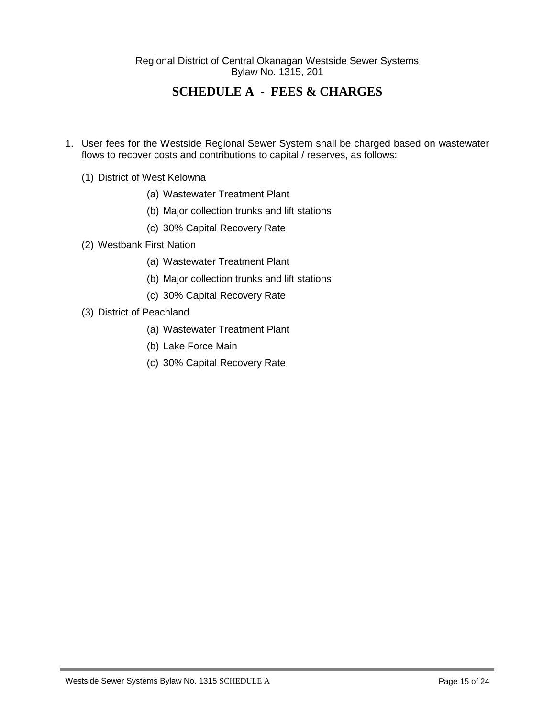<span id="page-14-0"></span>Regional District of Central Okanagan Westside Sewer Systems Bylaw No. 1315, 201

# **SCHEDULE A - FEES & CHARGES**

- 1. User fees for the Westside Regional Sewer System shall be charged based on wastewater flows to recover costs and contributions to capital / reserves, as follows:
	- (1) District of West Kelowna
		- (a) Wastewater Treatment Plant
		- (b) Major collection trunks and lift stations
		- (c) 30% Capital Recovery Rate
	- (2) Westbank First Nation
		- (a) Wastewater Treatment Plant
		- (b) Major collection trunks and lift stations
		- (c) 30% Capital Recovery Rate
	- (3) District of Peachland
		- (a) Wastewater Treatment Plant
		- (b) Lake Force Main
		- (c) 30% Capital Recovery Rate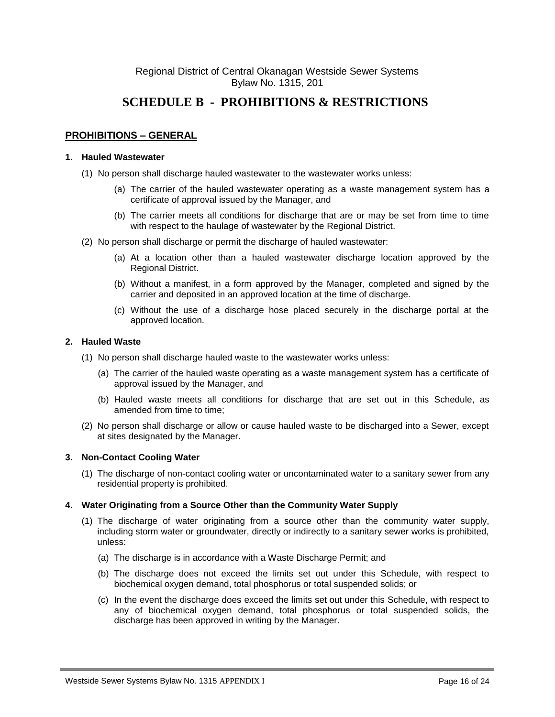# <span id="page-15-0"></span>**SCHEDULE B - PROHIBITIONS & RESTRICTIONS**

## **PROHIBITIONS – GENERAL**

#### **1. Hauled Wastewater**

- (1) No person shall discharge hauled wastewater to the wastewater works unless:
	- (a) The carrier of the hauled wastewater operating as a waste management system has a certificate of approval issued by the Manager, and
	- (b) The carrier meets all conditions for discharge that are or may be set from time to time with respect to the haulage of wastewater by the Regional District.
- (2) No person shall discharge or permit the discharge of hauled wastewater:
	- (a) At a location other than a hauled wastewater discharge location approved by the Regional District.
	- (b) Without a manifest, in a form approved by the Manager, completed and signed by the carrier and deposited in an approved location at the time of discharge.
	- (c) Without the use of a discharge hose placed securely in the discharge portal at the approved location.

#### **2. Hauled Waste**

- (1) No person shall discharge hauled waste to the wastewater works unless:
	- (a) The carrier of the hauled waste operating as a waste management system has a certificate of approval issued by the Manager, and
	- (b) Hauled waste meets all conditions for discharge that are set out in this Schedule, as amended from time to time;
- (2) No person shall discharge or allow or cause hauled waste to be discharged into a Sewer, except at sites designated by the Manager.

#### **3. Non-Contact Cooling Water**

(1) The discharge of non-contact cooling water or uncontaminated water to a sanitary sewer from any residential property is prohibited.

#### **4. Water Originating from a Source Other than the Community Water Supply**

- (1) The discharge of water originating from a source other than the community water supply, including storm water or groundwater, directly or indirectly to a sanitary sewer works is prohibited, unless:
	- (a) The discharge is in accordance with a Waste Discharge Permit; and
	- (b) The discharge does not exceed the limits set out under this Schedule, with respect to biochemical oxygen demand, total phosphorus or total suspended solids; or
	- (c) In the event the discharge does exceed the limits set out under this Schedule, with respect to any of biochemical oxygen demand, total phosphorus or total suspended solids, the discharge has been approved in writing by the Manager.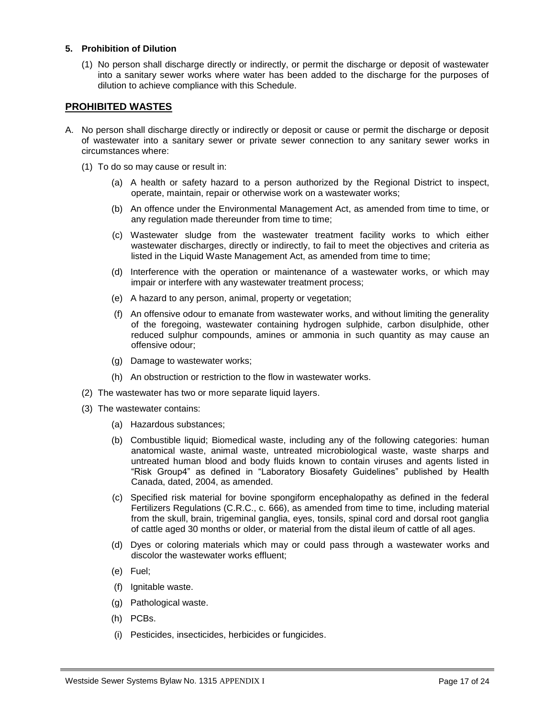#### **5. Prohibition of Dilution**

(1) No person shall discharge directly or indirectly, or permit the discharge or deposit of wastewater into a sanitary sewer works where water has been added to the discharge for the purposes of dilution to achieve compliance with this Schedule.

#### **PROHIBITED WASTES**

- A. No person shall discharge directly or indirectly or deposit or cause or permit the discharge or deposit of wastewater into a sanitary sewer or private sewer connection to any sanitary sewer works in circumstances where:
	- (1) To do so may cause or result in:
		- (a) A health or safety hazard to a person authorized by the Regional District to inspect, operate, maintain, repair or otherwise work on a wastewater works;
		- (b) An offence under the Environmental Management Act, as amended from time to time, or any regulation made thereunder from time to time;
		- (c) Wastewater sludge from the wastewater treatment facility works to which either wastewater discharges, directly or indirectly, to fail to meet the objectives and criteria as listed in the Liquid Waste Management Act, as amended from time to time;
		- (d) Interference with the operation or maintenance of a wastewater works, or which may impair or interfere with any wastewater treatment process;
		- (e) A hazard to any person, animal, property or vegetation;
		- (f) An offensive odour to emanate from wastewater works, and without limiting the generality of the foregoing, wastewater containing hydrogen sulphide, carbon disulphide, other reduced sulphur compounds, amines or ammonia in such quantity as may cause an offensive odour;
		- (g) Damage to wastewater works;
		- (h) An obstruction or restriction to the flow in wastewater works.
	- (2) The wastewater has two or more separate liquid layers.
	- (3) The wastewater contains:
		- (a) Hazardous substances;
		- (b) Combustible liquid; Biomedical waste, including any of the following categories: human anatomical waste, animal waste, untreated microbiological waste, waste sharps and untreated human blood and body fluids known to contain viruses and agents listed in "Risk Group4" as defined in "Laboratory Biosafety Guidelines" published by Health Canada, dated, 2004, as amended.
		- (c) Specified risk material for bovine spongiform encephalopathy as defined in the federal Fertilizers Regulations (C.R.C., c. 666), as amended from time to time, including material from the skull, brain, trigeminal ganglia, eyes, tonsils, spinal cord and dorsal root ganglia of cattle aged 30 months or older, or material from the distal ileum of cattle of all ages.
		- (d) Dyes or coloring materials which may or could pass through a wastewater works and discolor the wastewater works effluent;
		- (e) Fuel;
		- (f) Ignitable waste.
		- (g) Pathological waste.
		- (h) PCBs.
		- (i) Pesticides, insecticides, herbicides or fungicides.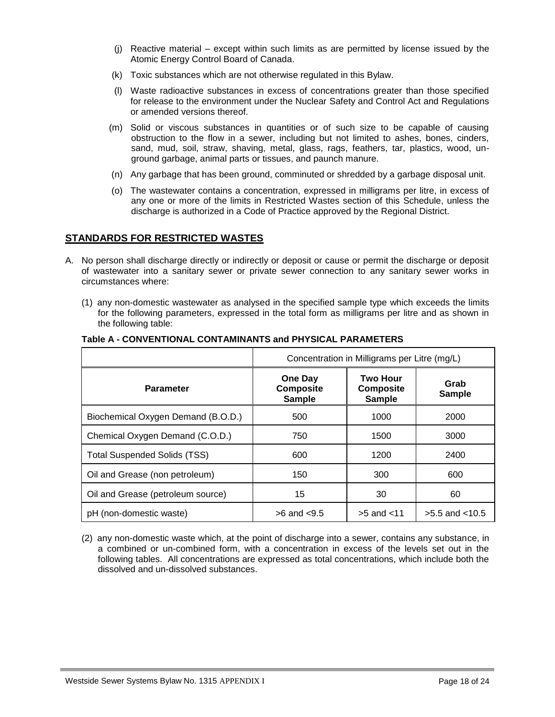- (j) Reactive material except within such limits as are permitted by license issued by the Atomic Energy Control Board of Canada.
- (k) Toxic substances which are not otherwise regulated in this Bylaw.
- (l) Waste radioactive substances in excess of concentrations greater than those specified for release to the environment under the Nuclear Safety and Control Act and Regulations or amended versions thereof.
- (m) Solid or viscous substances in quantities or of such size to be capable of causing obstruction to the flow in a sewer, including but not limited to ashes, bones, cinders, sand, mud, soil, straw, shaving, metal, glass, rags, feathers, tar, plastics, wood, unground garbage, animal parts or tissues, and paunch manure.
- (n) Any garbage that has been ground, comminuted or shredded by a garbage disposal unit.
- (o) The wastewater contains a concentration, expressed in milligrams per litre, in excess of any one or more of the limits in Restricted Wastes section of this Schedule, unless the discharge is authorized in a Code of Practice approved by the Regional District.

## **STANDARDS FOR RESTRICTED WASTES**

- A. No person shall discharge directly or indirectly or deposit or cause or permit the discharge or deposit of wastewater into a sanitary sewer or private sewer connection to any sanitary sewer works in circumstances where:
	- (1) any non-domestic wastewater as analysed in the specified sample type which exceeds the limits for the following parameters, expressed in the total form as milligrams per litre and as shown in the following table:

|                                     | Concentration in Milligrams per Litre (mg/L)        |                                                      |                       |  |  |  |
|-------------------------------------|-----------------------------------------------------|------------------------------------------------------|-----------------------|--|--|--|
| <b>Parameter</b>                    | <b>One Day</b><br><b>Composite</b><br><b>Sample</b> | <b>Two Hour</b><br><b>Composite</b><br><b>Sample</b> | Grab<br><b>Sample</b> |  |  |  |
| Biochemical Oxygen Demand (B.O.D.)  | 500                                                 | 1000                                                 | 2000                  |  |  |  |
| Chemical Oxygen Demand (C.O.D.)     | 750                                                 | 1500                                                 | 3000                  |  |  |  |
| <b>Total Suspended Solids (TSS)</b> | 600                                                 | 1200                                                 | 2400                  |  |  |  |
| Oil and Grease (non petroleum)      | 150                                                 | 300                                                  | 600                   |  |  |  |
| Oil and Grease (petroleum source)   | 15                                                  | 30                                                   | 60                    |  |  |  |
| pH (non-domestic waste)             | $>6$ and $< 9.5$                                    | $>5$ and $<$ 11                                      | $>5.5$ and $< 10.5$   |  |  |  |

#### **Table A - CONVENTIONAL CONTAMINANTS and PHYSICAL PARAMETERS**

(2) any non-domestic waste which, at the point of discharge into a sewer, contains any substance, in a combined or un-combined form, with a concentration in excess of the levels set out in the following tables. All concentrations are expressed as total concentrations, which include both the dissolved and un-dissolved substances.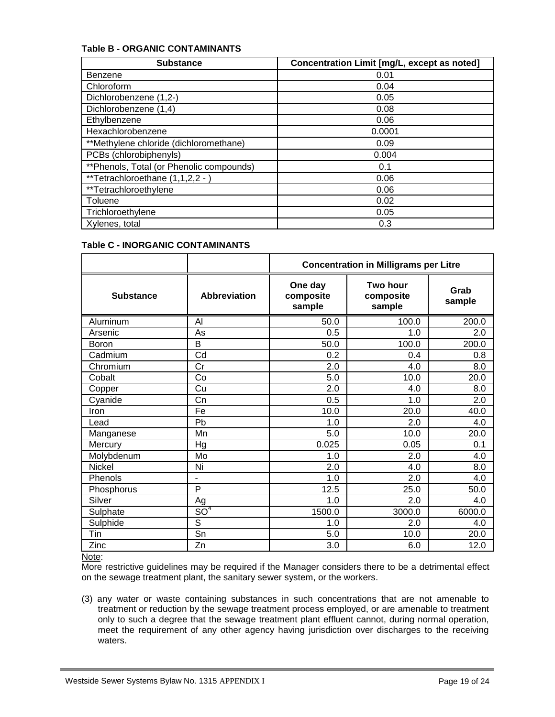#### **Table B - ORGANIC CONTAMINANTS**

| <b>Substance</b>                         | Concentration Limit [mg/L, except as noted] |
|------------------------------------------|---------------------------------------------|
| <b>Benzene</b>                           | 0.01                                        |
| Chloroform                               | 0.04                                        |
| Dichlorobenzene (1,2-)                   | 0.05                                        |
| Dichlorobenzene (1,4)                    | 0.08                                        |
| Ethylbenzene                             | 0.06                                        |
| Hexachlorobenzene                        | 0.0001                                      |
| **Methylene chloride (dichloromethane)   | 0.09                                        |
| PCBs (chlorobiphenyls)                   | 0.004                                       |
| **Phenols, Total (or Phenolic compounds) | 0.1                                         |
| **Tetrachloroethane (1,1,2,2 - )         | 0.06                                        |
| **Tetrachloroethylene                    | 0.06                                        |
| Toluene                                  | 0.02                                        |
| Trichloroethylene                        | 0.05                                        |
| Xylenes, total                           | 0.3                                         |

### **Table C - INORGANIC CONTAMINANTS**

|                  |                        | <b>Concentration in Milligrams per Litre</b>                      |        |                |  |  |  |
|------------------|------------------------|-------------------------------------------------------------------|--------|----------------|--|--|--|
| <b>Substance</b> | <b>Abbreviation</b>    | One day<br>Two hour<br>composite<br>composite<br>sample<br>sample |        | Grab<br>sample |  |  |  |
| Aluminum         | Al                     | 50.0                                                              | 100.0  | 200.0          |  |  |  |
| Arsenic          | As                     | 0.5                                                               | 1.0    | 2.0            |  |  |  |
| Boron            | B                      | 50.0                                                              | 100.0  | 200.0          |  |  |  |
| Cadmium          | Cd                     | 0.2                                                               | 0.4    | 0.8            |  |  |  |
| Chromium         | $\overline{\text{Cr}}$ | $\overline{2.0}$                                                  | 4.0    | 8.0            |  |  |  |
| Cobalt           | Co                     | 5.0                                                               | 10.0   | 20.0           |  |  |  |
| Copper           | Cu                     | 2.0                                                               | 4.0    | 8.0            |  |  |  |
| Cyanide          | Cn                     | 0.5                                                               | 1.0    | 2.0            |  |  |  |
| Iron             | Fe                     | 10.0                                                              | 20.0   | 40.0           |  |  |  |
| Lead             | Pb                     | 1.0                                                               | 2.0    | 4.0            |  |  |  |
| Manganese        | Mn                     | 5.0                                                               | 10.0   | 20.0           |  |  |  |
| Mercury          | Hg                     | 0.025                                                             | 0.05   | 0.1            |  |  |  |
| Molybdenum       | Mo                     | 1.0                                                               | 2.0    | 4.0            |  |  |  |
| <b>Nickel</b>    | Ni                     | 2.0                                                               | 4.0    | 8.0            |  |  |  |
| Phenols          | ÷                      | 1.0                                                               | 2.0    | 4.0            |  |  |  |
| Phosphorus       | P                      | 12.5                                                              | 25.0   | 50.0           |  |  |  |
| Silver           | Ag                     | 1.0                                                               | 2.0    | 4.0            |  |  |  |
| Sulphate         | SO <sup>4</sup>        | 1500.0                                                            | 3000.0 | 6000.0         |  |  |  |
| Sulphide         | $\mathbf S$            | 1.0                                                               | 2.0    | 4.0            |  |  |  |
| Tin              | $\overline{\text{Sn}}$ | 5.0                                                               | 10.0   | 20.0           |  |  |  |
| Zinc             | Zn                     | 3.0                                                               | 6.0    | 12.0           |  |  |  |

#### Note:

More restrictive guidelines may be required if the Manager considers there to be a detrimental effect on the sewage treatment plant, the sanitary sewer system, or the workers.

(3) any water or waste containing substances in such concentrations that are not amenable to treatment or reduction by the sewage treatment process employed, or are amenable to treatment only to such a degree that the sewage treatment plant effluent cannot, during normal operation, meet the requirement of any other agency having jurisdiction over discharges to the receiving waters.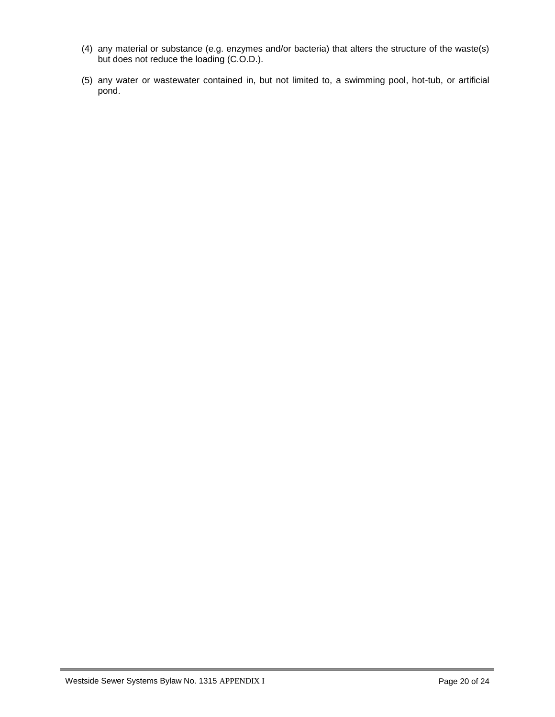- (4) any material or substance (e.g. enzymes and/or bacteria) that alters the structure of the waste(s) but does not reduce the loading (C.O.D.).
- (5) any water or wastewater contained in, but not limited to, a swimming pool, hot-tub, or artificial pond.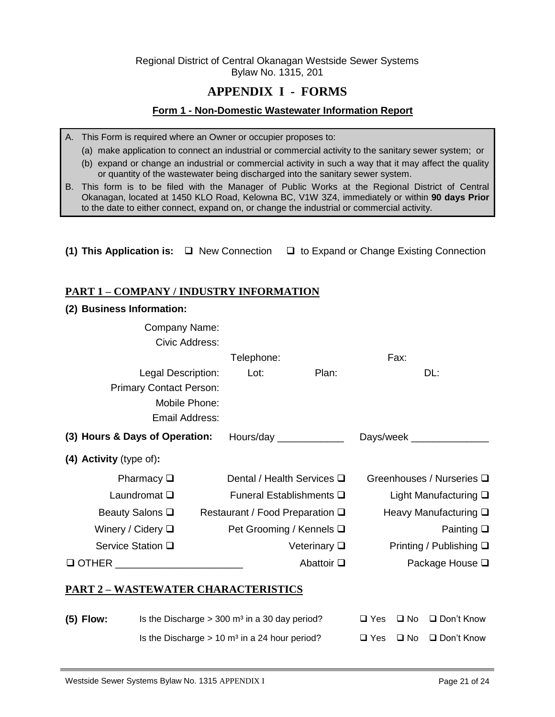<span id="page-20-0"></span>Regional District of Central Okanagan Westside Sewer Systems Bylaw No. 1315, 201

# **APPENDIX I - FORMS**

#### <span id="page-20-1"></span>**Form 1 - Non-Domestic Wastewater Information Report**

- A. This Form is required where an Owner or occupier proposes to:
	- (a) make application to connect an industrial or commercial activity to the sanitary sewer system; or
	- (b) expand or change an industrial or commercial activity in such a way that it may affect the quality or quantity of the wastewater being discharged into the sanitary sewer system.
- B. This form is to be filed with the Manager of Public Works at the Regional District of Central Okanagan, located at 1450 KLO Road, Kelowna BC, V1W 3Z4, immediately or within **90 days Prior** to the date to either connect, expand on, or change the industrial or commercial activity.
- **(1) This Application is:** □ New Connection □ to Expand or Change Existing Connection

## **PART 1 – COMPANY / INDUSTRY INFORMATION**

#### **(2) Business Information:**

| Company Name:                                                              |                                    |                      |            |              |                                 |
|----------------------------------------------------------------------------|------------------------------------|----------------------|------------|--------------|---------------------------------|
| Civic Address:                                                             |                                    |                      |            |              |                                 |
|                                                                            | Telephone:                         |                      |            | Fax:         |                                 |
| Legal Description:                                                         | Lot:                               | Plan:                |            |              | DL:                             |
| <b>Primary Contact Person:</b>                                             |                                    |                      |            |              |                                 |
| Mobile Phone:                                                              |                                    |                      |            |              |                                 |
| Email Address:                                                             |                                    |                      |            |              |                                 |
| (3) Hours & Days of Operation:                                             | Hours/day _____________            |                      |            |              |                                 |
| (4) Activity (type of):                                                    |                                    |                      |            |              |                                 |
| Pharmacy $\Box$                                                            | Dental / Health Services $\square$ |                      |            |              | Greenhouses / Nurseries □       |
| Laundromat $\square$                                                       | Funeral Establishments Q           |                      |            |              | Light Manufacturing $\square$   |
| Beauty Salons $\square$                                                    | Restaurant / Food Preparation □    |                      |            |              | Heavy Manufacturing □           |
| Winery / Cidery $\square$                                                  | Pet Grooming / Kennels □           |                      |            |              | Painting $\square$              |
| Service Station □                                                          |                                    | Veterinary $\square$ |            |              | Printing / Publishing $\square$ |
| Q OTHER _________________________                                          |                                    | Abattoir Q           |            |              | Package House <b>□</b>          |
| <u> PART 2 – WASTEWATER CHARACTERISTICS</u>                                |                                    |                      |            |              |                                 |
| Is the Discharge $> 300$ m <sup>3</sup> in a 30 day period?<br>$(5)$ Flow: |                                    |                      | $\Box$ Yes | $\square$ No | □ Don't Know                    |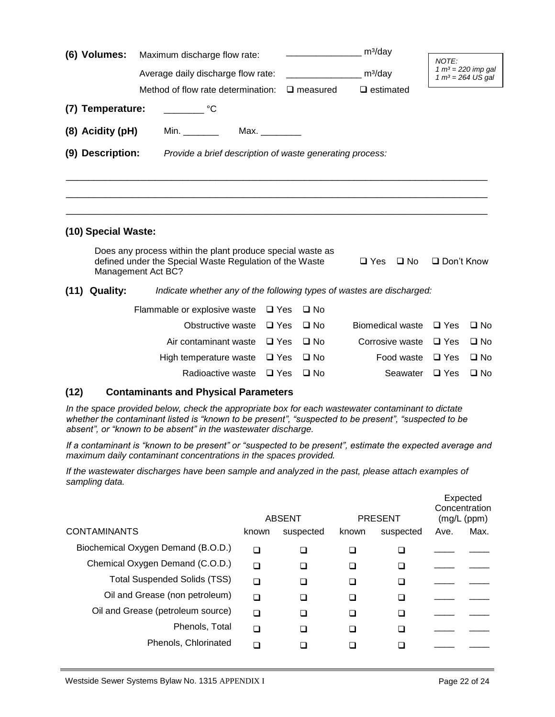| (6) Volumes:     |                     | Maximum discharge flow rate:                                                  |               |                    |                               |                                             |              |  |
|------------------|---------------------|-------------------------------------------------------------------------------|---------------|--------------------|-------------------------------|---------------------------------------------|--------------|--|
|                  |                     |                                                                               |               |                    | $m^3$ /day                    | NOTE:                                       |              |  |
|                  |                     | Average daily discharge flow rate:                                            |               |                    | $m^3$ /day                    | $1 m3 = 220$ imp gal<br>$1 m3 = 264 US gal$ |              |  |
|                  |                     | Method of flow rate determination:                                            |               | $\square$ measured | $\Box$ estimated              |                                             |              |  |
|                  | (7) Temperature:    |                                                                               |               |                    |                               |                                             |              |  |
| (8) Acidity (pH) |                     | Min. $\frac{1}{2}$                                                            | Max.          |                    |                               |                                             |              |  |
|                  | (9) Description:    | Provide a brief description of waste generating process:                      |               |                    |                               |                                             |              |  |
|                  |                     |                                                                               |               |                    |                               |                                             |              |  |
|                  |                     |                                                                               |               |                    |                               |                                             |              |  |
|                  |                     |                                                                               |               |                    |                               |                                             |              |  |
|                  |                     |                                                                               |               |                    |                               |                                             |              |  |
|                  | (10) Special Waste: |                                                                               |               |                    |                               |                                             |              |  |
|                  |                     | Does any process within the plant produce special waste as                    |               |                    |                               |                                             |              |  |
|                  |                     | defined under the Special Waste Regulation of the Waste<br>Management Act BC? |               |                    | $\square$ Yes<br>$\square$ No | $\Box$ Don't Know                           |              |  |
| (11)             | <b>Quality:</b>     | Indicate whether any of the following types of wastes are discharged:         |               |                    |                               |                                             |              |  |
|                  |                     | Flammable or explosive waste                                                  | $\Box$ Yes    | $\square$ No       |                               |                                             |              |  |
|                  |                     | Obstructive waste                                                             | $\Box$ Yes    | $\square$ No       | Biomedical waste              | $\Box$ Yes                                  | $\Box$ No    |  |
|                  |                     | Air contaminant waste                                                         | $\square$ Yes | $\square$ No       | Corrosive waste               | $\Box$ Yes                                  | $\Box$ No    |  |
|                  |                     | High temperature waste                                                        | $\Box$ Yes    | $\square$ No       | Food waste                    | $\Box$ Yes                                  | $\Box$ No    |  |
|                  |                     | Radioactive waste                                                             | $\Box$ Yes    | $\square$ No       | Seawater                      | $\Box$ Yes                                  | $\square$ No |  |

## **(12) Contaminants and Physical Parameters**

*In the space provided below, check the appropriate box for each wastewater contaminant to dictate whether the contaminant listed is "known to be present", "suspected to be present", "suspected to be absent", or "known to be absent" in the wastewater discharge.*

*If a contaminant is "known to be present" or "suspected to be present", estimate the expected average and maximum daily contaminant concentrations in the spaces provided.*

*If the wastewater discharges have been sample and analyzed in the past, please attach examples of sampling data.*

|                                     | <b>ABSENT</b> |           |       | <b>PRESENT</b> |      | Expected<br>Concentration<br>(mg/L (ppm)) |
|-------------------------------------|---------------|-----------|-------|----------------|------|-------------------------------------------|
| <b>CONTAMINANTS</b>                 | known         | suspected | known | suspected      | Ave. | Max.                                      |
| Biochemical Oxygen Demand (B.O.D.)  | □             | ◻         | ⊔     |                |      |                                           |
| Chemical Oxygen Demand (C.O.D.)     | □             | ◻         | ❏     |                |      |                                           |
| <b>Total Suspended Solids (TSS)</b> | ∩             | ◻         | ❏     |                |      |                                           |
| Oil and Grease (non petroleum)      | ∩             | ∩         | ❏     |                |      |                                           |
| Oil and Grease (petroleum source)   | ∩             | ⊓         | ❏     |                |      |                                           |
| Phenols, Total                      | ∩             | n         | ❏     |                |      |                                           |
| Phenols, Chlorinated                | ∩             |           |       |                |      |                                           |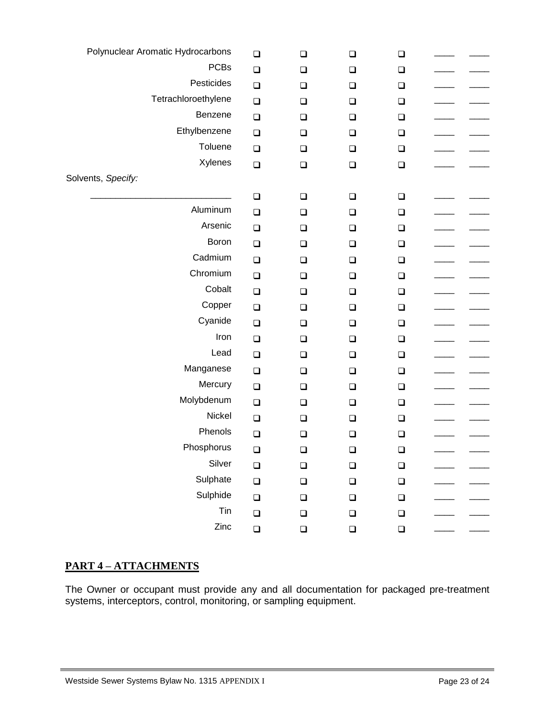| Polynuclear Aromatic Hydrocarbons | $\Box$ | $\Box$ | $\Box$ | $\Box$ |  |
|-----------------------------------|--------|--------|--------|--------|--|
| <b>PCBs</b>                       | $\Box$ | $\Box$ | $\Box$ | $\Box$ |  |
| Pesticides                        | $\Box$ | $\Box$ | $\Box$ | $\Box$ |  |
| Tetrachloroethylene               | $\Box$ | $\Box$ | $\Box$ | $\Box$ |  |
| Benzene                           | $\Box$ | $\Box$ | $\Box$ | $\Box$ |  |
| Ethylbenzene                      | $\Box$ | $\Box$ | $\Box$ | $\Box$ |  |
| Toluene                           | $\Box$ | $\Box$ | $\Box$ | $\Box$ |  |
| Xylenes                           | $\Box$ | $\Box$ | $\Box$ | $\Box$ |  |
| Solvents, Specify:                |        |        |        |        |  |
|                                   | $\Box$ | $\Box$ | $\Box$ | $\Box$ |  |
| Aluminum                          | $\Box$ | $\Box$ | $\Box$ | $\Box$ |  |
| Arsenic                           | $\Box$ | $\Box$ | $\Box$ | $\Box$ |  |
| Boron                             | $\Box$ | $\Box$ | $\Box$ | $\Box$ |  |
| Cadmium                           | $\Box$ | $\Box$ | $\Box$ | $\Box$ |  |
| Chromium                          | $\Box$ | $\Box$ | $\Box$ | $\Box$ |  |
| Cobalt                            | $\Box$ | $\Box$ | $\Box$ | $\Box$ |  |
| Copper                            | $\Box$ | $\Box$ | $\Box$ | $\Box$ |  |
| Cyanide                           | $\Box$ | $\Box$ | $\Box$ | $\Box$ |  |
| Iron                              | $\Box$ | $\Box$ | $\Box$ | $\Box$ |  |
| Lead                              | $\Box$ | $\Box$ | $\Box$ | $\Box$ |  |
| Manganese                         | $\Box$ | $\Box$ | $\Box$ | $\Box$ |  |
| Mercury                           | $\Box$ | $\Box$ | $\Box$ | $\Box$ |  |
| Molybdenum                        | $\Box$ | $\Box$ | $\Box$ | $\Box$ |  |
| Nickel                            | $\Box$ | $\Box$ | $\Box$ | $\Box$ |  |
| Phenols                           | $\Box$ | $\Box$ | $\Box$ | $\Box$ |  |
| Phosphorus                        | $\Box$ | $\Box$ | $\Box$ | $\Box$ |  |
| Silver                            | $\Box$ | $\Box$ | $\Box$ | $\Box$ |  |
| Sulphate                          | $\Box$ | $\Box$ | $\Box$ | $\Box$ |  |
| Sulphide                          | $\Box$ | $\Box$ | $\Box$ | $\Box$ |  |
| Tin                               | $\Box$ | $\Box$ | $\Box$ | $\Box$ |  |
| Zinc                              | $\Box$ | $\Box$ | $\Box$ | $\Box$ |  |
|                                   |        |        |        |        |  |

## **PART 4 – ATTACHMENTS**

The Owner or occupant must provide any and all documentation for packaged pre-treatment systems, interceptors, control, monitoring, or sampling equipment.